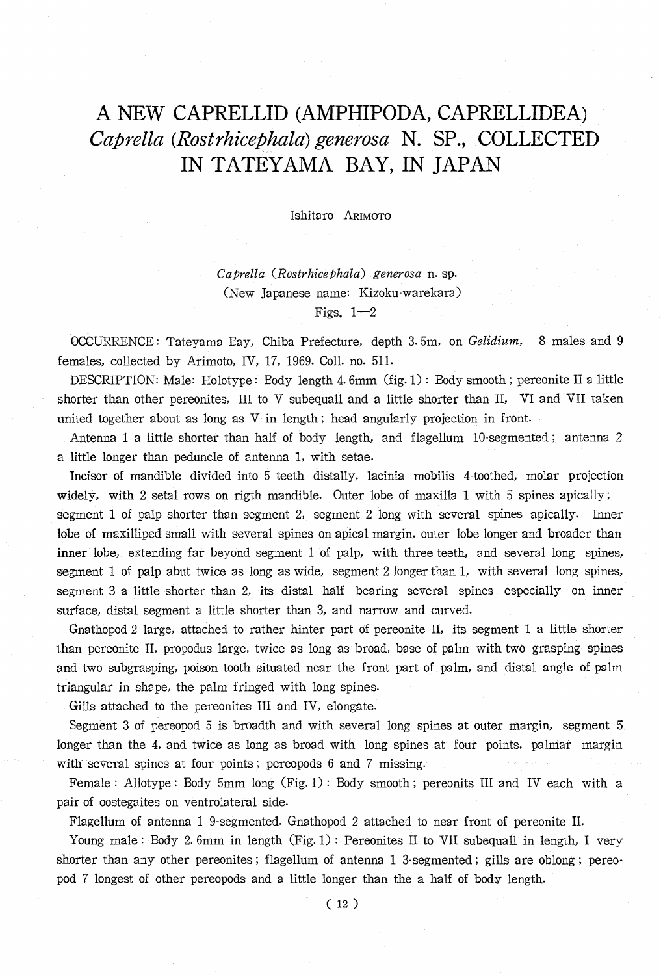## A NEW CAPRELLID (AMPHIPODA, CAPRELLIDEA) Caprella (Rostrhicephala) generosa N. SP., COLLECTED IN TATEYAMA BAY, IN JAPAN

Ishitaro ARIMOTO

Caprella (Rostrhicephala) generosa n. sp. (New Japanese name: Kizoku-warekara) Figs.  $1-2$ 

 OCCURRENCE : Tateyama Bay, Chiba Prefecture, depth 3.5m, on Gelidium, 8 males and 9 females, collected by Arimoto, IV, 17, 1969. Coll. no. 511.

DESCRIPTION: Male: Holotype : Body length 4. 6mm (fig. 1) : Body smooth ; pereonite II a little shorter than other pereonites, III to V subequall and a little shorter than II, VI and VII taken united together about as long as V in length ; head angularly projection in front.

Antenna 1 a little shorter than half of body length, and flagellum 10-segmented ; antenna 2 a little longer than peduncle of antenna 1, with setae.

Incisor of mandible divided into 5 teeth distally, lacinia mobilis 4-toothed, molar projection widely, with 2 setal rows on rigth mandible. Outer lobe of maxilla 1 with 5 spines apically; segment 1 of palp shorter than segment 2, segment 2 long with several spines apically. Inner lobe of maxilliped small with several spines on apical margin, outer lobe longer and broader than inner lobe, extending far beyond segment 1 of palp, with three teeth, and several long spines, segment 1 of palp abut twice as long as wide, segment 2 longer than 1, with several long spines, segment 3 a little shorter than 2, its distal half bearing several spines especially on inner surface, distal segment a little shorter than 3, and narrow and curved.

Gnathopod 2 large, attached to rather hinter part of pereonite II, its segment 1 a little shorter than pereonite II, propodus large, twice as long as broad, base of palm with two grasping spines and two subgrasping, poison tooth situated near the front part of palm, and distal angle of palm triangular in shape, the palm fringed with long spines.

Gills attached to the pereonites III and IV, elongate.

Segment 3 of pereopod 5 is broadth and with several long spines at outer margin, segment 5 longer than the 4, and twice as long as broad with long spines at four points, palmar margin with several spines at four points ; pereopods 6 and 7 missing.

Female : Allotype : Body 5mm long (Fig. 1) : Body smooth ; pereonits III and IV each with a pair of oostegaites on ventrolateral side.

Flagellum of antenna 1 9-segmented. Gnathopod 2 attached to near front of pereonite II.

Young male: Body 2.6mm in length (Fig. 1): Pereonites II to VII subequall in length, I very shorter than any other pereonites ; flagellum of antenna 1 3-segmented ; gills are oblong ; pereopod 7 longest of other pereopods and a little longer than the a half of body. length.

( 12 )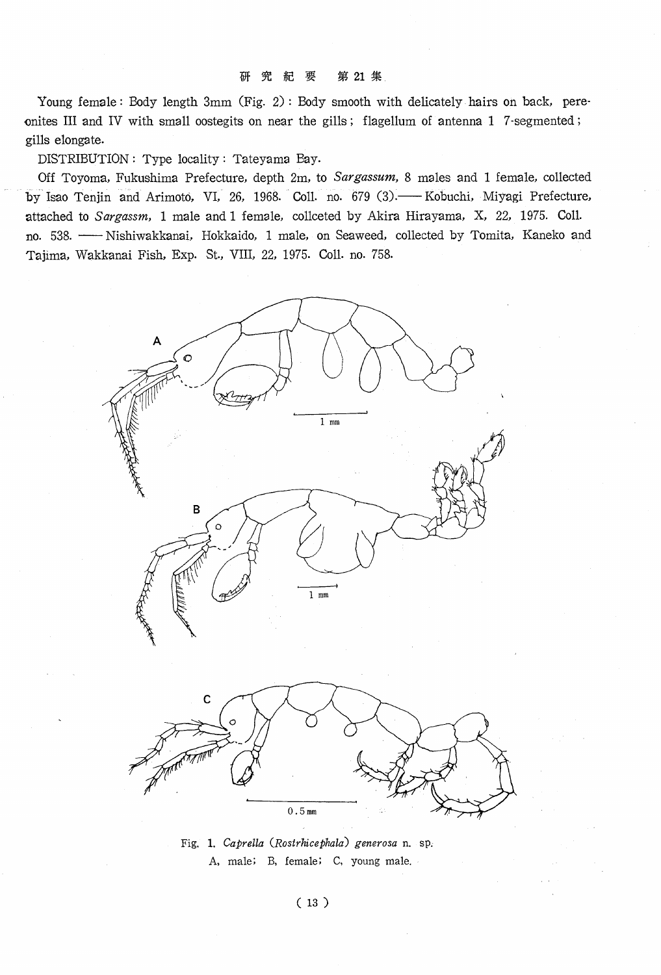## 研 究 紀 要 第 21 集

Young female: Body length 3mm (Fig. 2): Body smooth with delicately hairs on back, pereonites III and IV with small oostegits on near the gills; flagellum of antenna 1 7-segmented; gills elongate.

DISTRIBUTION : Type locality : Tateyama Bay.

Off Toyoma, Fukushima Prefecture, depth 2m, to Sargassum, 8 males and 1 female, collected by Isao Tenjin and Arimoto, VI, 26, 1968. Coll. no. 679 (3). - Kobuchi, Miyagi Prefecture, attached to Sargassm, 1 male and 1 female, collceted by Akira Hirayama, X, 22, 1975. Coll. no. 538. - Nishiwakkanai, Hokkaido, 1 male, on Seaweed, collected by Tomita, Kaneko and Tajima, Wakkanai Fish, Exp. St., VIII, 22, 1975. Coll. no. 758.